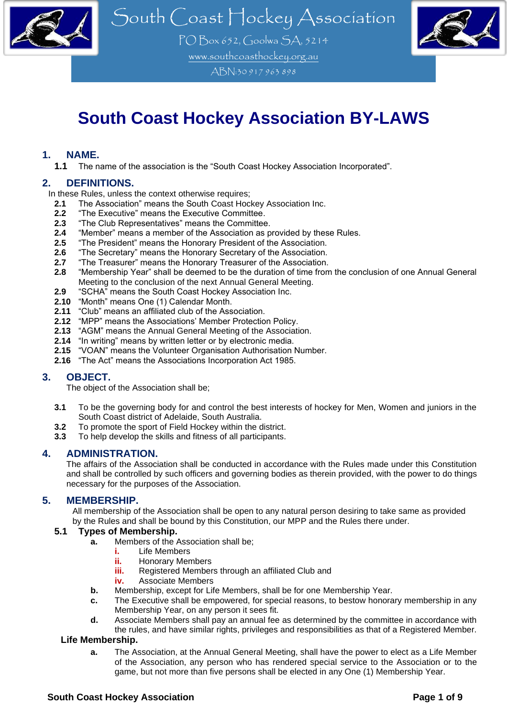

PO Box 652, Goolwa SA, 5214 [www.southcoasthockey.org.au](http://www.southcoasthockey.org.au/) ABN:30 917 963 898



## **South Coast Hockey Association BY-LAWS**

#### **1. NAME.**

**1.1** The name of the association is the "South Coast Hockey Association Incorporated".

#### **2. DEFINITIONS.**

In these Rules, unless the context otherwise requires;

- 2.1 The Association" means the South Coast Hockey Association Inc.<br>2.2 "The Executive" means the Executive Committee.
- **2.2** "The Executive" means the Executive Committee.<br>**2.3** "The Club Representatives" means the Committee
- **2.3** "The Club Representatives" means the Committee.
- 2.4 "Member" means a member of the Association as provided by these Rules.<br>**2.5** "The President" means the Honorary President of the Association.
- 2.5 "The President" means the Honorary President of the Association.<br>2.6 "The Secretary" means the Honorary Secretary of the Association.
- **2.6** "The Secretary" means the Honorary Secretary of the Association.
- **2.7** "The Treasurer" means the Honorary Treasurer of the Association.
- **2.8** "Membership Year" shall be deemed to be the duration of time from the conclusion of one Annual General Meeting to the conclusion of the next Annual General Meeting.
- **2.9** "SCHA" means the South Coast Hockey Association Inc.
- **2.10** "Month" means One (1) Calendar Month.
- **2.11** "Club" means an affiliated club of the Association.
- **2.12** "MPP" means the Associations' Member Protection Policy.
- **2.13** "AGM" means the Annual General Meeting of the Association.
- **2.14** "In writing" means by written letter or by electronic media.
- **2.15** "VOAN" means the Volunteer Organisation Authorisation Number.
- **2.16** "The Act" means the Associations Incorporation Act 1985.

#### **3. OBJECT.**

The object of the Association shall be;

- **3.1** To be the governing body for and control the best interests of hockey for Men, Women and juniors in the South Coast district of Adelaide, South Australia.
- **3.2** To promote the sport of Field Hockey within the district.
- **3.3** To help develop the skills and fitness of all participants.

#### **4. ADMINISTRATION.**

The affairs of the Association shall be conducted in accordance with the Rules made under this Constitution and shall be controlled by such officers and governing bodies as therein provided, with the power to do things necessary for the purposes of the Association.

#### **5. MEMBERSHIP.**

All membership of the Association shall be open to any natural person desiring to take same as provided by the Rules and shall be bound by this Constitution, our MPP and the Rules there under.

#### **5.1 Types of Membership.**

- **a.** Members of the Association shall be;
	- **i.** Life Members
	- **ii.** Honorary Members
	- **iii.** Registered Members through an affiliated Club and
	- **iv.** Associate Members
- **b.** Membership, except for Life Members, shall be for one Membership Year.
- **c.** The Executive shall be empowered, for special reasons, to bestow honorary membership in any Membership Year, on any person it sees fit.
- **d.** Associate Members shall pay an annual fee as determined by the committee in accordance with the rules, and have similar rights, privileges and responsibilities as that of a Registered Member.

#### **Life Membership.**

**a.** The Association, at the Annual General Meeting, shall have the power to elect as a Life Member of the Association, any person who has rendered special service to the Association or to the game, but not more than five persons shall be elected in any One (1) Membership Year.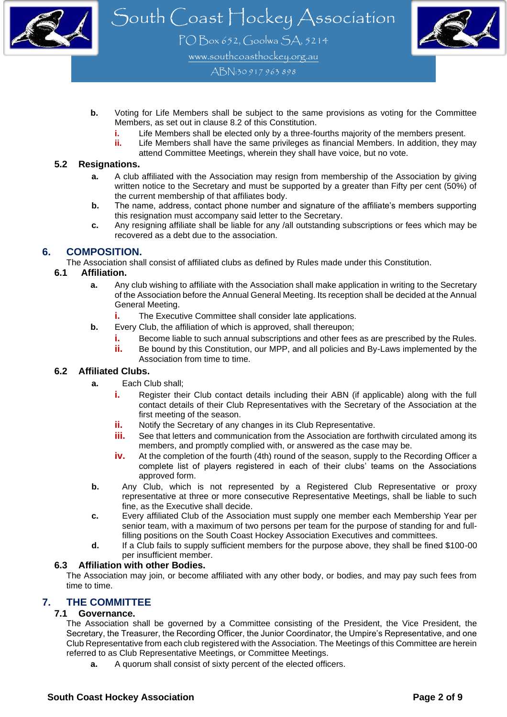



PO Box 652, Goolwa SA, 5214 [www.southcoasthockey.org.au](http://www.southcoasthockey.org.au/)

ABN:30 917 963 898

- **b.** Voting for Life Members shall be subject to the same provisions as voting for the Committee Members, as set out in clause 8.2 of this Constitution.
	- **i.** Life Members shall be elected only by a three-fourths majority of the members present.
	- Life Members shall have the same privileges as financial Members. In addition, they may attend Committee Meetings, wherein they shall have voice, but no vote.

#### **5.2 Resignations.**

- **a.** A club affiliated with the Association may resign from membership of the Association by giving written notice to the Secretary and must be supported by a greater than Fifty per cent (50%) of the current membership of that affiliates body.
- **b.** The name, address, contact phone number and signature of the affiliate's members supporting this resignation must accompany said letter to the Secretary.
- **c.** Any resigning affiliate shall be liable for any /all outstanding subscriptions or fees which may be recovered as a debt due to the association.

### **6. COMPOSITION.**

The Association shall consist of affiliated clubs as defined by Rules made under this Constitution.

#### **6.1 Affiliation.**

- **a.** Any club wishing to affiliate with the Association shall make application in writing to the Secretary of the Association before the Annual General Meeting. Its reception shall be decided at the Annual General Meeting.
	- **i.** The Executive Committee shall consider late applications.
- **b.** Every Club, the affiliation of which is approved, shall thereupon;
	- **i.** Become liable to such annual subscriptions and other fees as are prescribed by the Rules.
	- **ii.** Be bound by this Constitution, our MPP, and all policies and By-Laws implemented by the Association from time to time.

#### **6.2 Affiliated Clubs.**

- **a.** Each Club shall;
	- **i.** Register their Club contact details including their ABN (if applicable) along with the full contact details of their Club Representatives with the Secretary of the Association at the first meeting of the season.
	- **ii.** Notify the Secretary of any changes in its Club Representative.
	- **iii.** See that letters and communication from the Association are forthwith circulated among its members, and promptly complied with, or answered as the case may be.
	- **iv.** At the completion of the fourth (4th) round of the season, supply to the Recording Officer a complete list of players registered in each of their clubs' teams on the Associations approved form.
- **b.** Any Club, which is not represented by a Registered Club Representative or proxy representative at three or more consecutive Representative Meetings, shall be liable to such fine, as the Executive shall decide.
- **c.** Every affiliated Club of the Association must supply one member each Membership Year per senior team, with a maximum of two persons per team for the purpose of standing for and fullfilling positions on the South Coast Hockey Association Executives and committees.
- **d.** If a Club fails to supply sufficient members for the purpose above, they shall be fined \$100-00 per insufficient member.

#### **6.3 Affiliation with other Bodies.**

The Association may join, or become affiliated with any other body, or bodies, and may pay such fees from time to time.

## **7. THE COMMITTEE**

#### **7.1 Governance.**

The Association shall be governed by a Committee consisting of the President, the Vice President, the Secretary, the Treasurer, the Recording Officer, the Junior Coordinator, the Umpire's Representative, and one Club Representative from each club registered with the Association. The Meetings of this Committee are herein referred to as Club Representative Meetings, or Committee Meetings.

**a.** A quorum shall consist of sixty percent of the elected officers.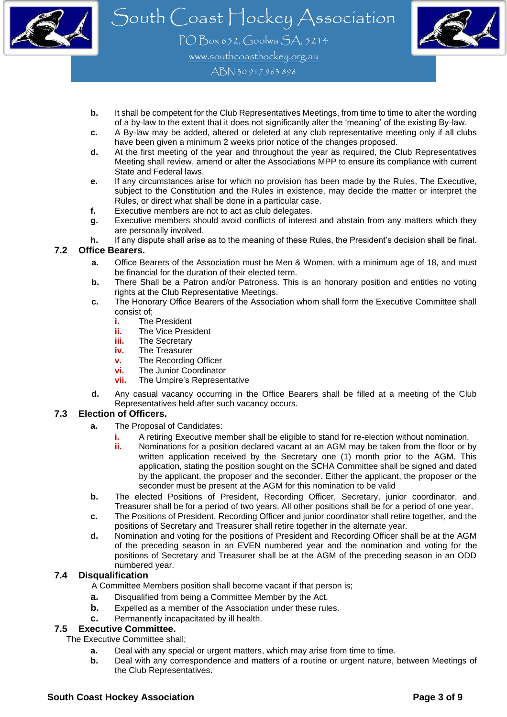

PO Box 652, Goolwa SA, 5214 [www.southcoasthockey.org.au](http://www.southcoasthockey.org.au/)

ABN:30 917 963 898

- **b.** It shall be competent for the Club Representatives Meetings, from time to time to alter the wording of a by-law to the extent that it does not significantly alter the 'meaning' of the existing By-law.
- **c.** A By-law may be added, altered or deleted at any club representative meeting only if all clubs have been given a minimum 2 weeks prior notice of the changes proposed.
- **d.** At the first meeting of the year and throughout the year as required, the Club Representatives Meeting shall review, amend or alter the Associations MPP to ensure its compliance with current State and Federal laws.
- **e.** If any circumstances arise for which no provision has been made by the Rules, The Executive, subject to the Constitution and the Rules in existence, may decide the matter or interpret the Rules, or direct what shall be done in a particular case.
- **f.** Executive members are not to act as club delegates.
- **g.** Executive members should avoid conflicts of interest and abstain from any matters which they are personally involved.
- **h.** If any dispute shall arise as to the meaning of these Rules, the President's decision shall be final.

#### **7.2 Office Bearers.**

- **a.** Office Bearers of the Association must be Men & Women, with a minimum age of 18, and must be financial for the duration of their elected term.
- **b.** There Shall be a Patron and/or Patroness. This is an honorary position and entitles no voting rights at the Club Representative Meetings.
- **c.** The Honorary Office Bearers of the Association whom shall form the Executive Committee shall consist of;
	- **i.** The President<br>**ii** The Vice Presi
	- **ii.** The Vice President
	- **iii.** The Secretary
	- **iv.** The Treasurer
	- **v.** The Recording Officer
	- **vi.** The Junior Coordinator
	- **vii.** The Umpire's Representative
- **d.** Any casual vacancy occurring in the Office Bearers shall be filled at a meeting of the Club Representatives held after such vacancy occurs.

#### **7.3 Election of Officers.**

- **a.** The Proposal of Candidates:
	- **i.** A retiring Executive member shall be eligible to stand for re-election without nomination.
	- **ii.** Nominations for a position declared vacant at an AGM may be taken from the floor or by written application received by the Secretary one (1) month prior to the AGM. This application, stating the position sought on the SCHA Committee shall be signed and dated by the applicant, the proposer and the seconder. Either the applicant, the proposer or the seconder must be present at the AGM for this nomination to be valid
- **b.** The elected Positions of President, Recording Officer, Secretary, junior coordinator, and Treasurer shall be for a period of two years. All other positions shall be for a period of one year.
- **c.** The Positions of President, Recording Officer and junior coordinator shall retire together, and the positions of Secretary and Treasurer shall retire together in the alternate year.
- **d.** Nomination and voting for the positions of President and Recording Officer shall be at the AGM of the preceding season in an EVEN numbered year and the nomination and voting for the positions of Secretary and Treasurer shall be at the AGM of the preceding season in an ODD numbered year.

#### **7.4 Disqualification**

A Committee Members position shall become vacant if that person is;

- **a.** Disqualified from being a Committee Member by the Act.
- **b.** Expelled as a member of the Association under these rules.
- **c.** Permanently incapacitated by ill health.

### **7.5 Executive Committee.**

The Executive Committee shall;

- **a.** Deal with any special or urgent matters, which may arise from time to time.
- **b.** Deal with any correspondence and matters of a routine or urgent nature, between Meetings of the Club Representatives.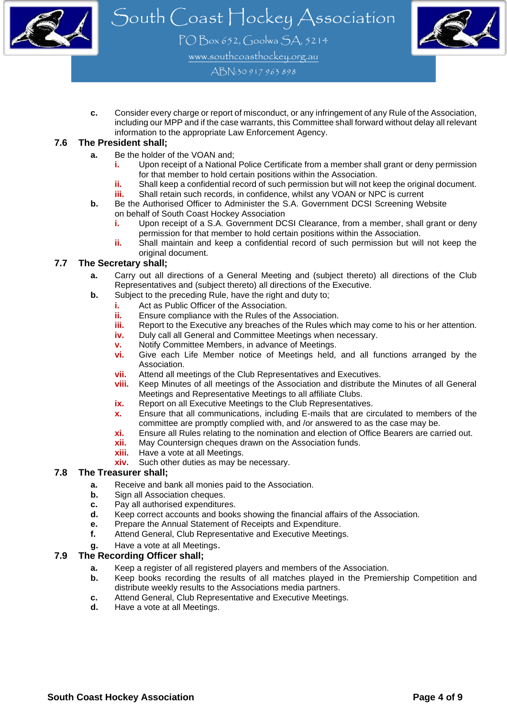



PO Box 652, Goolwa SA, 5214 [www.southcoasthockey.org.au](http://www.southcoasthockey.org.au/)

ABN:30 917 963 898

**c.** Consider every charge or report of misconduct, or any infringement of any Rule of the Association, including our MPP and if the case warrants, this Committee shall forward without delay all relevant information to the appropriate Law Enforcement Agency.

#### **7.6 The President shall;**

- **a.** Be the holder of the VOAN and;
	- **i.** Upon receipt of a National Police Certificate from a member shall grant or deny permission for that member to hold certain positions within the Association.
	- **ii.** Shall keep a confidential record of such permission but will not keep the original document.
	- **iii.** Shall retain such records, in confidence, whilst any VOAN or NPC is current
- **b.** Be the Authorised Officer to Administer the S.A. Government DCSI Screening Website on behalf of South Coast Hockey Association
	- **i.** Upon receipt of a S.A. Government DCSI Clearance, from a member, shall grant or deny permission for that member to hold certain positions within the Association.
	- **ii.** Shall maintain and keep a confidential record of such permission but will not keep the original document.

#### **7.7 The Secretary shall;**

- **a.** Carry out all directions of a General Meeting and (subject thereto) all directions of the Club Representatives and (subject thereto) all directions of the Executive.
- **b.** Subject to the preceding Rule, have the right and duty to;
	- **i.** Act as Public Officer of the Association.
	- **ii.** Ensure compliance with the Rules of the Association.
	- **iii.** Report to the Executive any breaches of the Rules which may come to his or her attention.
	- **iv.** Duly call all General and Committee Meetings when necessary.
	- **v.** Notify Committee Members, in advance of Meetings.
	- **vi.** Give each Life Member notice of Meetings held, and all functions arranged by the Association.
	- **vii.** Attend all meetings of the Club Representatives and Executives.
	- **viii.** Keep Minutes of all meetings of the Association and distribute the Minutes of all General Meetings and Representative Meetings to all affiliate Clubs.
	- **ix.** Report on all Executive Meetings to the Club Representatives.
	- **x.** Ensure that all communications, including E-mails that are circulated to members of the committee are promptly complied with, and /or answered to as the case may be.
	- **xi.** Ensure all Rules relating to the nomination and election of Office Bearers are carried out.
	- **xii.** May Countersign cheques drawn on the Association funds.
	- **xiii.** Have a vote at all Meetings.
	- **xiv.** Such other duties as may be necessary.

#### **7.8 The Treasurer shall;**

- **a.** Receive and bank all monies paid to the Association.
- **b.** Sign all Association cheques.
- **c.** Pay all authorised expenditures.
- **d.** Keep correct accounts and books showing the financial affairs of the Association.
- **e.** Prepare the Annual Statement of Receipts and Expenditure.
- **f.** Attend General, Club Representative and Executive Meetings.
- **g.** Have a vote at all Meetings.

#### **7.9 The Recording Officer shall;**

- **a.** Keep a register of all registered players and members of the Association.
- **b.** Keep books recording the results of all matches played in the Premiership Competition and distribute weekly results to the Associations media partners.
- **c.** Attend General, Club Representative and Executive Meetings.
- **d.** Have a vote at all Meetings.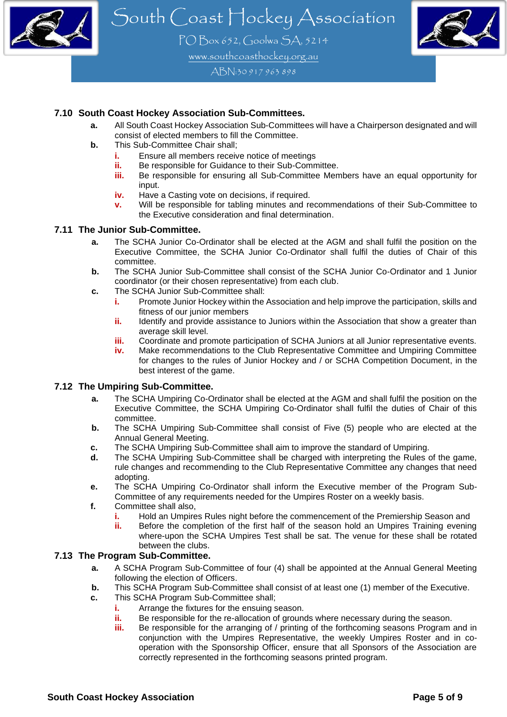

PO Box 652, Goolwa SA, 5214 [www.southcoasthockey.org.au](http://www.southcoasthockey.org.au/)

ABN:30 917 963 898

#### **7.10 South Coast Hockey Association Sub-Committees.**

- **a.** All South Coast Hockey Association Sub-Committees will have a Chairperson designated and will consist of elected members to fill the Committee.
- **b.** This Sub-Committee Chair shall;
	- **i.** Ensure all members receive notice of meetings<br>**ii.** Be responsible for Guidance to their Sub-Comn
	- **ii.** Be responsible for Guidance to their Sub-Committee.<br>**iii.** Be responsible for ensuring all Sub-Committee Mem
	- Be responsible for ensuring all Sub-Committee Members have an equal opportunity for input.
	- **iv.** Have a Casting vote on decisions, if required.
	- **v.** Will be responsible for tabling minutes and recommendations of their Sub-Committee to the Executive consideration and final determination.

#### **7.11 The Junior Sub-Committee.**

- **a.** The SCHA Junior Co-Ordinator shall be elected at the AGM and shall fulfil the position on the Executive Committee, the SCHA Junior Co-Ordinator shall fulfil the duties of Chair of this committee.
- **b.** The SCHA Junior Sub-Committee shall consist of the SCHA Junior Co-Ordinator and 1 Junior coordinator (or their chosen representative) from each club.
- **c.** The SCHA Junior Sub-Committee shall:
	- **i.** Promote Junior Hockey within the Association and help improve the participation, skills and fitness of our junior members
	- **ii.** Identify and provide assistance to Juniors within the Association that show a greater than average skill level.
	- **iii.** Coordinate and promote participation of SCHA Juniors at all Junior representative events.
	- **iv.** Make recommendations to the Club Representative Committee and Umpiring Committee for changes to the rules of Junior Hockey and / or SCHA Competition Document, in the best interest of the game.

#### **7.12 The Umpiring Sub-Committee.**

- **a.** The SCHA Umpiring Co-Ordinator shall be elected at the AGM and shall fulfil the position on the Executive Committee, the SCHA Umpiring Co-Ordinator shall fulfil the duties of Chair of this committee.
- **b.** The SCHA Umpiring Sub-Committee shall consist of Five (5) people who are elected at the Annual General Meeting.
- **c.** The SCHA Umpiring Sub-Committee shall aim to improve the standard of Umpiring.
- **d.** The SCHA Umpiring Sub-Committee shall be charged with interpreting the Rules of the game, rule changes and recommending to the Club Representative Committee any changes that need adopting.
- **e.** The SCHA Umpiring Co-Ordinator shall inform the Executive member of the Program Sub-Committee of any requirements needed for the Umpires Roster on a weekly basis.
- **f.** Committee shall also,
	- **i.** Hold an Umpires Rules night before the commencement of the Premiership Season and
	- **ii.** Before the completion of the first half of the season hold an Umpires Training evening where-upon the SCHA Umpires Test shall be sat. The venue for these shall be rotated between the clubs.

#### **7.13 The Program Sub-Committee.**

- **a.** A SCHA Program Sub-Committee of four (4) shall be appointed at the Annual General Meeting following the election of Officers.
- **b.** This SCHA Program Sub-Committee shall consist of at least one (1) member of the Executive.
- **c.** This SCHA Program Sub-Committee shall;
	- **i.** Arrange the fixtures for the ensuing season.
	- **ii.** Be responsible for the re-allocation of grounds where necessary during the season.
	- **iii.** Be responsible for the arranging of / printing of the forthcoming seasons Program and in conjunction with the Umpires Representative, the weekly Umpires Roster and in cooperation with the Sponsorship Officer, ensure that all Sponsors of the Association are correctly represented in the forthcoming seasons printed program.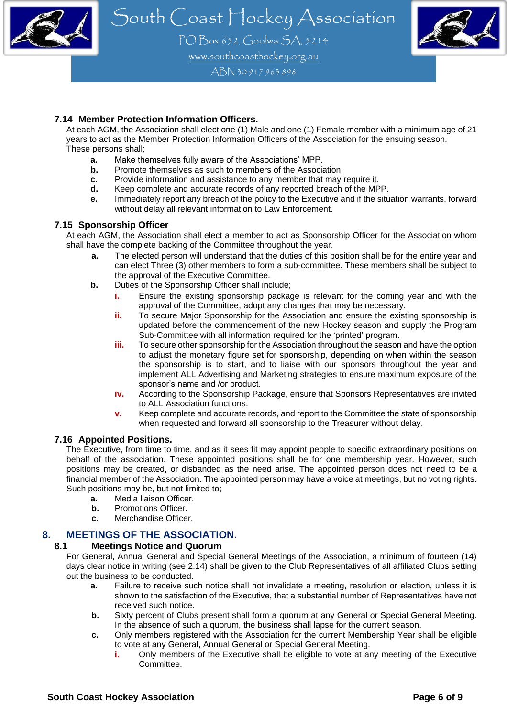

PO Box 652, Goolwa SA, 5214 [www.southcoasthockey.org.au](http://www.southcoasthockey.org.au/)

ABN:30 917 963 898

#### **7.14 Member Protection Information Officers.**

At each AGM, the Association shall elect one (1) Male and one (1) Female member with a minimum age of 21 years to act as the Member Protection Information Officers of the Association for the ensuing season. These persons shall;

- **a.** Make themselves fully aware of the Associations' MPP.
- **b.** Promote themselves as such to members of the Association.
- **c.** Provide information and assistance to any member that may require it.
- **d.** Keep complete and accurate records of any reported breach of the MPP.
- **e.** Immediately report any breach of the policy to the Executive and if the situation warrants, forward without delay all relevant information to Law Enforcement.

#### **7.15 Sponsorship Officer**

At each AGM, the Association shall elect a member to act as Sponsorship Officer for the Association whom shall have the complete backing of the Committee throughout the year.

- **a.** The elected person will understand that the duties of this position shall be for the entire year and can elect Three (3) other members to form a sub-committee. These members shall be subject to the approval of the Executive Committee.
- **b.** Duties of the Sponsorship Officer shall include;
	- **i.** Ensure the existing sponsorship package is relevant for the coming year and with the approval of the Committee, adopt any changes that may be necessary.
	- **ii.** To secure Major Sponsorship for the Association and ensure the existing sponsorship is updated before the commencement of the new Hockey season and supply the Program Sub-Committee with all information required for the 'printed' program.
	- **iii.** To secure other sponsorship for the Association throughout the season and have the option to adjust the monetary figure set for sponsorship, depending on when within the season the sponsorship is to start, and to liaise with our sponsors throughout the year and implement ALL Advertising and Marketing strategies to ensure maximum exposure of the sponsor's name and /or product.
	- **iv.** According to the Sponsorship Package, ensure that Sponsors Representatives are invited to ALL Association functions.
	- **v.** Keep complete and accurate records, and report to the Committee the state of sponsorship when requested and forward all sponsorship to the Treasurer without delay.

#### **7.16 Appointed Positions.**

The Executive, from time to time, and as it sees fit may appoint people to specific extraordinary positions on behalf of the association. These appointed positions shall be for one membership year. However, such positions may be created, or disbanded as the need arise. The appointed person does not need to be a financial member of the Association. The appointed person may have a voice at meetings, but no voting rights. Such positions may be, but not limited to;

- **a.** Media liaison Officer.
- **b.** Promotions Officer.
- **c.** Merchandise Officer.

## **8. MEETINGS OF THE ASSOCIATION.**

#### **8.1 Meetings Notice and Quorum**

For General, Annual General and Special General Meetings of the Association, a minimum of fourteen (14) days clear notice in writing (see 2.14) shall be given to the Club Representatives of all affiliated Clubs setting out the business to be conducted.

- **a.** Failure to receive such notice shall not invalidate a meeting, resolution or election, unless it is shown to the satisfaction of the Executive, that a substantial number of Representatives have not received such notice.
- **b.** Sixty percent of Clubs present shall form a quorum at any General or Special General Meeting. In the absence of such a quorum, the business shall lapse for the current season.
- **c.** Only members registered with the Association for the current Membership Year shall be eligible to vote at any General, Annual General or Special General Meeting.
	- **i.** Only members of the Executive shall be eligible to vote at any meeting of the Executive Committee.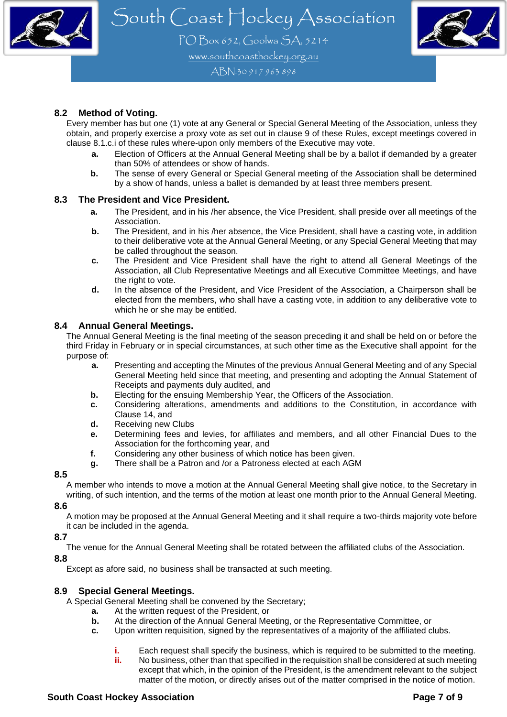

PO Box 652, Goolwa SA, 5214 [www.southcoasthockey.org.au](http://www.southcoasthockey.org.au/)

ABN:30 917 963 898

#### **8.2 Method of Voting.**

Every member has but one (1) vote at any General or Special General Meeting of the Association, unless they obtain, and properly exercise a proxy vote as set out in clause 9 of these Rules, except meetings covered in clause 8.1.c.i of these rules where-upon only members of the Executive may vote.

- **a.** Election of Officers at the Annual General Meeting shall be by a ballot if demanded by a greater than 50% of attendees or show of hands.
- **b.** The sense of every General or Special General meeting of the Association shall be determined by a show of hands, unless a ballet is demanded by at least three members present.

#### **8.3 The President and Vice President.**

- **a.** The President, and in his /her absence, the Vice President, shall preside over all meetings of the Association.
- **b.** The President, and in his /her absence, the Vice President, shall have a casting vote, in addition to their deliberative vote at the Annual General Meeting, or any Special General Meeting that may be called throughout the season.
- **c.** The President and Vice President shall have the right to attend all General Meetings of the Association, all Club Representative Meetings and all Executive Committee Meetings, and have the right to vote.
- **d.** In the absence of the President, and Vice President of the Association, a Chairperson shall be elected from the members, who shall have a casting vote, in addition to any deliberative vote to which he or she may be entitled.

#### **8.4 Annual General Meetings.**

The Annual General Meeting is the final meeting of the season preceding it and shall be held on or before the third Friday in February or in special circumstances, at such other time as the Executive shall appoint for the purpose of:

- **a.** Presenting and accepting the Minutes of the previous Annual General Meeting and of any Special General Meeting held since that meeting, and presenting and adopting the Annual Statement of Receipts and payments duly audited, and
- **b.** Electing for the ensuing Membership Year, the Officers of the Association.<br>**c.** Considering alterations, amendments and additions to the Constitution
- **c.** Considering alterations, amendments and additions to the Constitution, in accordance with Clause 14, and
- **d.** Receiving new Clubs
- **e.** Determining fees and levies, for affiliates and members, and all other Financial Dues to the Association for the forthcoming year, and
- **f.** Considering any other business of which notice has been given.
- **g.** There shall be a Patron and /or a Patroness elected at each AGM

#### **8.5**

A member who intends to move a motion at the Annual General Meeting shall give notice, to the Secretary in writing, of such intention, and the terms of the motion at least one month prior to the Annual General Meeting.

#### **8.6**

A motion may be proposed at the Annual General Meeting and it shall require a two-thirds majority vote before it can be included in the agenda.

#### **8.7**

The venue for the Annual General Meeting shall be rotated between the affiliated clubs of the Association.

#### **8.8**

Except as afore said, no business shall be transacted at such meeting.

#### **8.9 Special General Meetings.**

A Special General Meeting shall be convened by the Secretary;

- **a.** At the written request of the President, or
- **b.** At the direction of the Annual General Meeting, or the Representative Committee, or
- **c.** Upon written requisition, signed by the representatives of a majority of the affiliated clubs.
	- **i.** Each request shall specify the business, which is required to be submitted to the meeting.
	- **ii.** No business, other than that specified in the requisition shall be considered at such meeting except that which, in the opinion of the President, is the amendment relevant to the subject matter of the motion, or directly arises out of the matter comprised in the notice of motion.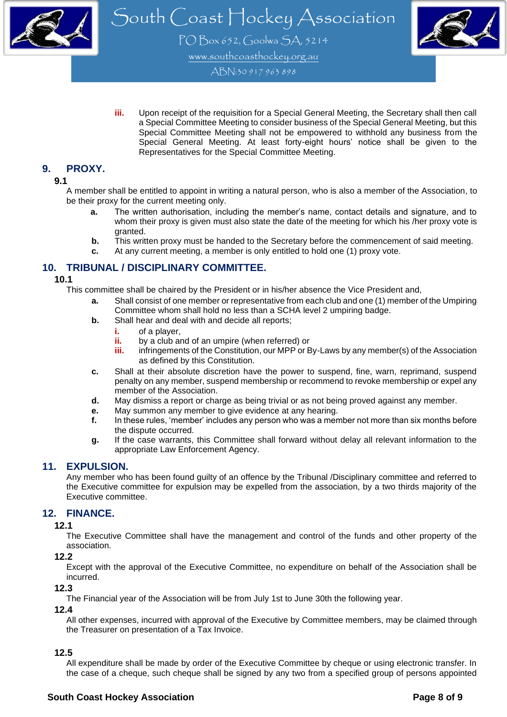

PO Box 652, Goolwa SA, 5214 [www.southcoasthockey.org.au](http://www.southcoasthockey.org.au/)

ABN:30 917 963 898

**iii.** Upon receipt of the requisition for a Special General Meeting, the Secretary shall then call a Special Committee Meeting to consider business of the Special General Meeting, but this Special Committee Meeting shall not be empowered to withhold any business from the Special General Meeting. At least forty-eight hours' notice shall be given to the Representatives for the Special Committee Meeting.

## **9. PROXY.**

#### **9.1**

A member shall be entitled to appoint in writing a natural person, who is also a member of the Association, to be their proxy for the current meeting only.

- **a.** The written authorisation, including the member's name, contact details and signature, and to whom their proxy is given must also state the date of the meeting for which his /her proxy vote is granted.
- **b.** This written proxy must be handed to the Secretary before the commencement of said meeting.
- **c.** At any current meeting, a member is only entitled to hold one (1) proxy vote.

## **10. TRIBUNAL / DISCIPLINARY COMMITTEE.**

#### **10.1**

This committee shall be chaired by the President or in his/her absence the Vice President and,

- **a.** Shall consist of one member or representative from each club and one (1) member of the Umpiring Committee whom shall hold no less than a SCHA level 2 umpiring badge.
- **b.** Shall hear and deal with and decide all reports;
	- **i.** of a player,
	- **ii.** by a club and of an umpire (when referred) or
	- **iii.** infringements of the Constitution, our MPP or By-Laws by any member(s) of the Association as defined by this Constitution.
- **c.** Shall at their absolute discretion have the power to suspend, fine, warn, reprimand, suspend penalty on any member, suspend membership or recommend to revoke membership or expel any member of the Association.
- **d.** May dismiss a report or charge as being trivial or as not being proved against any member.
- **e.** May summon any member to give evidence at any hearing.
- **f.** In these rules, 'member' includes any person who was a member not more than six months before the dispute occurred.
- **g.** If the case warrants, this Committee shall forward without delay all relevant information to the appropriate Law Enforcement Agency.

#### **11. EXPULSION.**

Any member who has been found guilty of an offence by the Tribunal /Disciplinary committee and referred to the Executive committee for expulsion may be expelled from the association, by a two thirds majority of the Executive committee.

### **12. FINANCE.**

#### **12.1**

The Executive Committee shall have the management and control of the funds and other property of the association.

#### **12.2**

Except with the approval of the Executive Committee, no expenditure on behalf of the Association shall be incurred.

#### **12.3**

The Financial year of the Association will be from July 1st to June 30th the following year.

#### **12.4**

All other expenses, incurred with approval of the Executive by Committee members, may be claimed through the Treasurer on presentation of a Tax Invoice.

#### **12.5**

All expenditure shall be made by order of the Executive Committee by cheque or using electronic transfer. In the case of a cheque, such cheque shall be signed by any two from a specified group of persons appointed